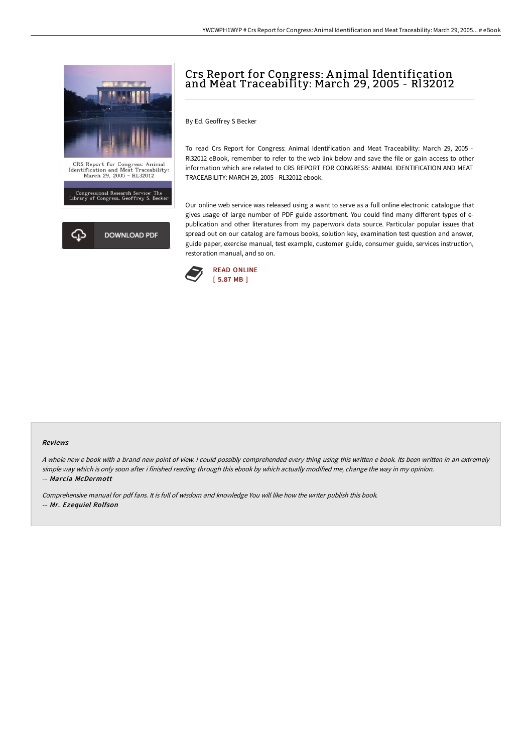

# Crs Report for Congress: A nimal Identification and Meat Traceability: March 29, 2005 - Rl32012

By Ed. Geoffrey S Becker

To read Crs Report for Congress: Animal Identification and Meat Traceability: March 29, 2005 - Rl32012 eBook, remember to refer to the web link below and save the file or gain access to other information which are related to CRS REPORT FOR CONGRESS: ANIMAL IDENTIFICATION AND MEAT TRACEABILITY: MARCH 29, 2005 - RL32012 ebook.

Our online web service was released using a want to serve as a full online electronic catalogue that gives usage of large number of PDF guide assortment. You could find many different types of epublication and other literatures from my paperwork data source. Particular popular issues that spread out on our catalog are famous books, solution key, examination test question and answer, guide paper, exercise manual, test example, customer guide, consumer guide, services instruction, restoration manual, and so on.



#### Reviews

<sup>A</sup> whole new <sup>e</sup> book with <sup>a</sup> brand new point of view. <sup>I</sup> could possibly comprehended every thing using this written <sup>e</sup> book. Its been written in an extremely simple way which is only soon after i finished reading through this ebook by which actually modified me, change the way in my opinion. -- Marcia McDermott

Comprehensive manual for pdf fans. It is full of wisdom and knowledge You will like how the writer publish this book. -- Mr. Ezequiel Rolfson